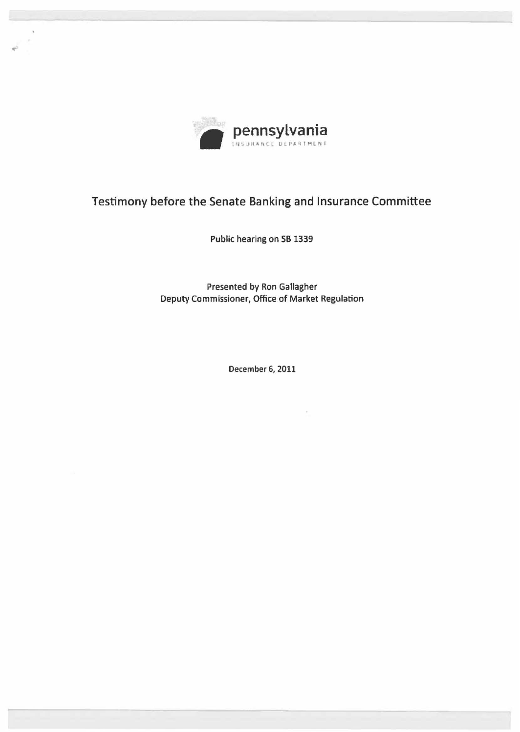

•

## Testimony before the Senate Banking and Insurance Committee

Public hearing on SB 1339

Presented by Ron Gallagher Deputy Commissioner, Office of Market Regulation

December 6, 2011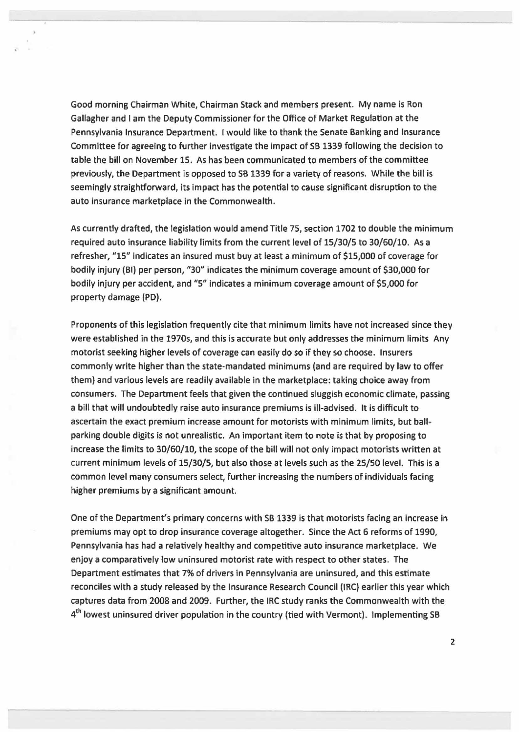Good morning Chairman White, Chairman Stack and members present. My name is Ron Gallagher and I am the Deputy Commissioner for the Office of Market Regulation at the Pennsylvania Insurance Department. I would like to thank the Senate Banking and Insurance Committee for agreeing to further investigate the impact of SB 1339 following the decision to table the bill on November 15. As has been communicated to members of the committee previously, the Department is opposed to SB 1339 for a variety of reasons. While the bill is seemingly straightforward, its impact has the potential to cause significant disruption to the auto insurance marketplace in the Commonwealth.

As currently drafted, the legislation would amend Title 75, section 1702 to double the minimum required auto insurance liability limits from the current level of 15/30/5 to 30/60/10. As a refresher, "15" indicates an insured must buy at least a minimum of \$15,000 of coverage for bodily injury {Bl) per person, "30" indicates the minimum coverage amount of \$30,000 for bodily injury per accident, and "S" indicates a minimum coverage amount of \$5,000 for property damage (PD).

Proponents of this legislation frequently cite that minimum limits have not increased since they were established in the 1970s, and this is accurate but only addresses the minimum limits Any motorist seeking higher levels of coverage can easily do so if they so choose. Insurers commonly write higher than the state-mandated minimums (and are required by law to offer them) and various levels are readily available in the marketplace: taking choice away from consumers. The Department feels that given the continued sluggish economic climate, passing a bill that will undoubtedly raise auto insurance premiums is ill-advised. It is difficult to ascertain the exact premium increase amount for motorists with minimum limits, but ball· parking double digits is not unrealistic. An important item to note is that by proposing to increase the limits to 30/60/10, the scope of the bill will not only impact motorists written at current minimum levels of 15/30/5, but also those at levels such as the 25/50 level. This is a common level many consumers select, further increasing the numbers of individuals facing higher premiums by a significant amount.

One of the Department's primary concerns with SB 1339 is that motorists facing an increase in premiums may opt to drop insurance coverage altogether. Since the Act 6 reforms of 1990, Pennsylvania has had a relatively healthy and competitive auto insurance marketplace. We enjoy a comparatively low uninsured motorist rate with respect to other states. The Department estimates that 7% of drivers in Pennsylvania are uninsured, and this estimate reconciles with a study released by the Insurance Research Council (IRC) earlier this year which captures data from 2008 and 2009. Further, the IRC study ranks the Commonwealth with the 4<sup>th</sup> lowest uninsured driver population in the country (tied with Vermont). Implementing SB

2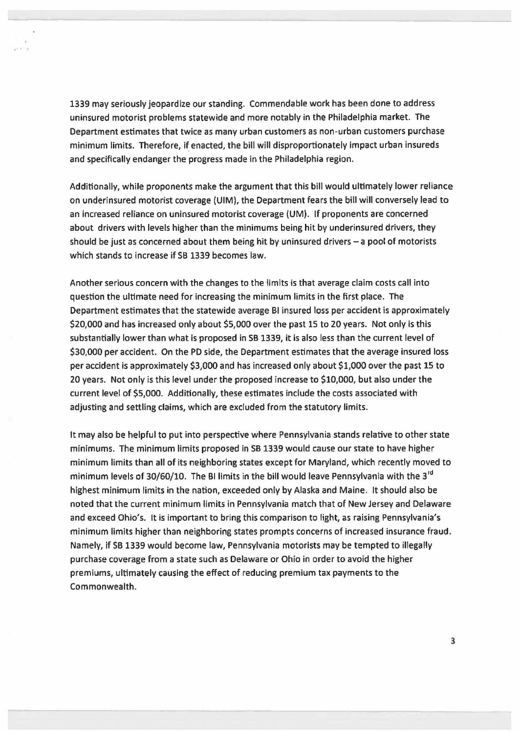1339 may seriously jeopardize our standing. Commendable work has been done to address uninsured motorist problems statewide and more notably in the Philadelphia market. The Department estimates that twice as many urban customers as non· urban customers purchase minimum limits. Therefore, if enacted, the bill will disproportionately impact urban insureds and specifically endanger the progress made in the Philadelphia region.

...

Additionally, while proponents make the argument that this bill would ultimately lower reliance on underinsured motorist coverage (UIM), the Department fears the bill will conversely lead to an increased reliance on uninsured motorist coverage (UM). lf proponents are concerned about drivers with levels higher than the minimums being hit by underinsured drivers, they should be just as concerned about them being hit by uninsured drivers  $-$  a pool of motorists which stands to increase if SB 1339 becomes law.

Another serious concern with the changes to the limits is that average claim costs call into question the ultimate need for increasing the minimum limits in the first place. The Department estimates that the statewide average Bl insured loss per accident is approximately \$20,000 and has increased only about \$5,000 over the past 15 to 20 years. Not only is this substantially lower than what is proposed in SB 1339, it is also less than the current level of \$30,000 per accident. On the PD side, the Department estimates that the average insured loss per accident is approximately \$3,000 and has increased only about \$1,000 over the past 15 to 20 years. Not only is this level under the proposed increase to \$10,000, but also under the current level of \$5,000. Additionally, these estimates include the costs associated with adjusting and settling claims, which are excluded from the statutory limits.

It may also be helpful to put into perspective where Pennsylvania stands relative to other state minimums. The minimum limits proposed in SB 1339 would cause our state to have higher minimum limits than all of its neighboring states except for Maryland, which recently moved to minimum levels of 30/60/10. The BI limits in the bill would leave Pennsylvania with the 3<sup>rd</sup> highest minimum limits in the nation, exceeded only by Alaska and Maine. It should also be noted that the current minimum limits in Pennsylvania match that of New Jersey and Delaware and exceed Ohio's. It is important to bring this comparison to light, as raising Pennsylvania's minimum limits higher than neighboring states prompts concerns of increased insurance fraud. Namely, if SB 1339 would become law, Pennsylvania motorists may be tempted to illegally purchase coverage from a state such as Delaware or Ohio in order to avoid the higher premiums, ultimately causing the effect of reducing premium tax payments to the Commonwealth.